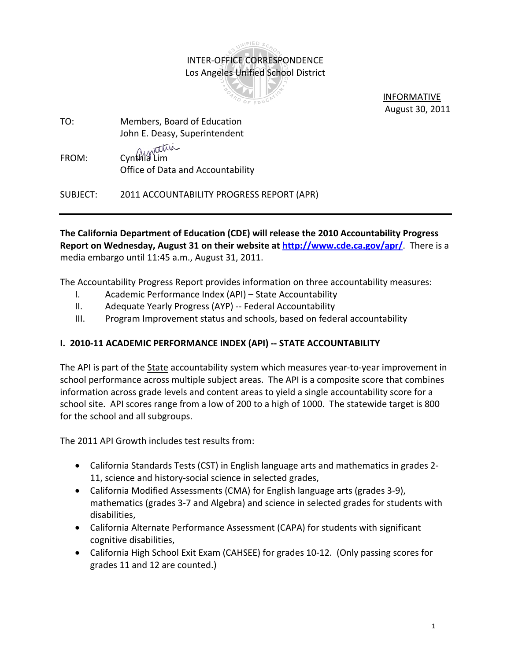# **INIFIED** SC INTER‐OFFICE CORRESPONDENCE Los Angeles Unified School District



 INFORMATIVE August 30, 2011

- TO: Members, Board of Education John E. Deasy, Superintendent
- FROM: Cynthia Lim Office of Data and Accountability

SUBJECT: 2011 ACCOUNTABILITY PROGRESS REPORT (APR)

**The California Department of Education (CDE) will release the 2010 Accountability Progress Report on Wednesday, August 31 on their website at http://www.cde.ca.gov/apr/**. There is a media embargo until 11:45 a.m., August 31, 2011.

The Accountability Progress Report provides information on three accountability measures:

- I. Academic Performance Index (API) State Accountability
- II. Adequate Yearly Progress (AYP) ‐‐ Federal Accountability
- III. Program Improvement status and schools, based on federal accountability

## **I. 2010‐11 ACADEMIC PERFORMANCE INDEX (API) ‐‐ STATE ACCOUNTABILITY**

The API is part of the State accountability system which measures year-to-year improvement in school performance across multiple subject areas. The API is a composite score that combines information across grade levels and content areas to yield a single accountability score for a school site. API scores range from a low of 200 to a high of 1000. The statewide target is 800 for the school and all subgroups.

The 2011 API Growth includes test results from:

- California Standards Tests (CST) in English language arts and mathematics in grades 2-11, science and history-social science in selected grades,
- California Modified Assessments (CMA) for English language arts (grades 3‐9), mathematics (grades 3‐7 and Algebra) and science in selected grades for students with disabilities,
- California Alternate Performance Assessment (CAPA) for students with significant cognitive disabilities,
- California High School Exit Exam (CAHSEE) for grades 10‐12. (Only passing scores for grades 11 and 12 are counted.)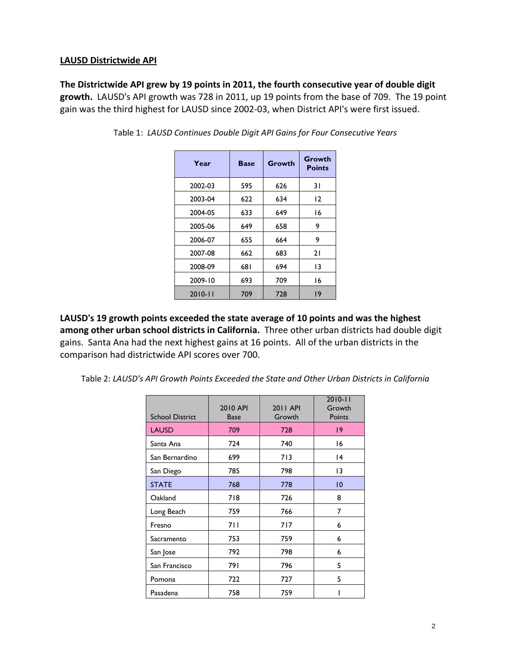#### **LAUSD Districtwide API**

**The Districtwide API grew by 19 points in 2011, the fourth consecutive year of double digit growth.** LAUSD's API growth was 728 in 2011, up 19 points from the base of 709. The 19 point gain was the third highest for LAUSD since 2002‐03, when District API's were first issued.

| Year        | <b>Base</b> | Growth | Growth<br><b>Points</b> |
|-------------|-------------|--------|-------------------------|
| 2002-03     | 595         | 626    | 31                      |
| 2003-04     | 622         | 634    | 12                      |
| 2004-05     | 633         | 649    | 16                      |
| 2005-06     | 649         | 658    | 9                       |
| 2006-07     | 655         | 664    | 9                       |
| 2007-08     | 662         | 683    | 21                      |
| 2008-09     | 681         | 694    | 13                      |
| 2009-10     | 693         | 709    | 16                      |
| $2010 - 11$ | 709         | 728    | 19                      |

Table 1: *LAUSD Continues Double Digit API Gains for Four Consecutive Years*

**LAUSD's 19 growth points exceeded the state average of 10 points and was the highest among other urban school districts in California.** Three other urban districts had double digit gains. Santa Ana had the next highest gains at 16 points. All of the urban districts in the comparison had districtwide API scores over 700.

Table 2: *LAUSD's API Growth Points Exceeded the State and Other Urban Districts in California*

| <b>School District</b> | 2010 API<br><b>Base</b> | <b>2011 API</b><br>Growth | $2010 - 11$<br>Growth<br>Points |
|------------------------|-------------------------|---------------------------|---------------------------------|
| <b>LAUSD</b>           | 709                     | 728                       | 9                               |
| Santa Ana              | 724                     | 740                       | 16                              |
| San Bernardino         | 699                     | 713                       | 4                               |
| San Diego              | 785                     | 798                       | 13                              |
| <b>STATE</b>           | 768                     | 778                       | $ 0\rangle$                     |
| Oakland                | 718                     | 726                       | 8                               |
| Long Beach             | 759                     | 766                       | 7                               |
| Fresno                 | 7 I I                   | 717                       | 6                               |
| Sacramento             | 753                     | 759                       | 6                               |
| San Jose               | 792                     | 798                       | 6                               |
| San Francisco          | 791                     | 796                       | 5                               |
| Pomona                 | 722                     | 727                       | 5                               |
| Pasadena               | 758                     | 759                       |                                 |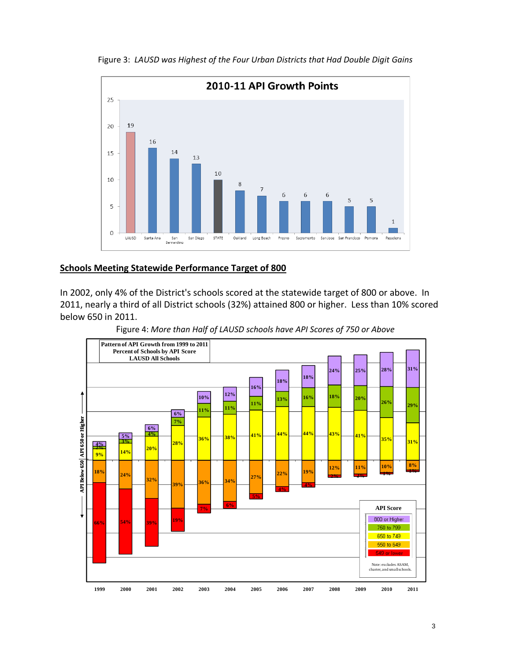

Figure 3: *LAUSD was Highest of the Four Urban Districts that Had Double Digit Gains* 

#### **Schools Meeting Statewide Performance Target of 800**

In 2002, only 4% of the District's schools scored at the statewide target of 800 or above. In 2011, nearly a third of all District schools (32%) attained 800 or higher. Less than 10% scored below 650 in 2011.

Figure 4: *More than Half of LAUSD schools have API Scores of 750 or Above*

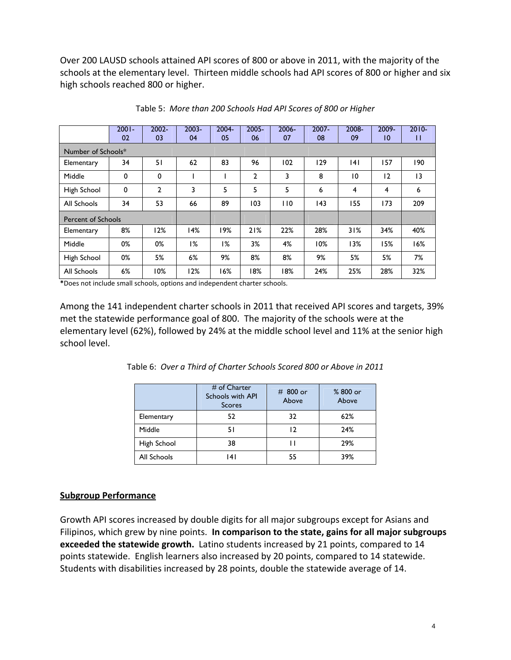Over 200 LAUSD schools attained API scores of 800 or above in 2011, with the majority of the schools at the elementary level. Thirteen middle schools had API scores of 800 or higher and six high schools reached 800 or higher.

|                           | $2001 -$<br>02 | $2002 -$<br>03 | $2003 -$<br>04 | $2004 -$<br>05 | $2005 -$<br>06 | 2006-<br>07 | $2007 -$<br>08 | 2008-<br>09 | 2009-<br>$\overline{10}$ | $2010 -$<br>П |
|---------------------------|----------------|----------------|----------------|----------------|----------------|-------------|----------------|-------------|--------------------------|---------------|
| Number of Schools*        |                |                |                |                |                |             |                |             |                          |               |
| Elementary                | 34             | 51             | 62             | 83             | 96             | 102         | 29             | 4           | 157                      | 190           |
| Middle                    | 0              | 0              |                |                | $\overline{2}$ | 3           | 8              | 10          | 12                       | 3             |
| High School               | 0              | 2              | 3              | 5              | 5              | 5           | 6              | 4           | 4                        | 6             |
| All Schools               | 34             | 53             | 66             | 89             | 103            | 110         | 143            | 155         | 173                      | 209           |
| <b>Percent of Schools</b> |                |                |                |                |                |             |                |             |                          |               |
| Elementary                | 8%             | 12%            | 14%            | 19%            | 21%            | 22%         | 28%            | 31%         | 34%                      | 40%           |
| Middle                    | 0%             | 0%             | 1%             | 1%             | 3%             | 4%          | 10%            | 13%         | 15%                      | 16%           |
| High School               | 0%             | 5%             | 6%             | 9%             | 8%             | 8%          | 9%             | 5%          | 5%                       | 7%            |
| All Schools               | 6%             | 10%            | 12%            | 16%            | 18%            | 18%         | 24%            | 25%         | 28%                      | 32%           |

Table 5: *More than 200 Schools Had API Scores of 800 or Higher*

**\***Does not include small schools, options and independent charter schools.

Among the 141 independent charter schools in 2011 that received API scores and targets, 39% met the statewide performance goal of 800. The majority of the schools were at the elementary level (62%), followed by 24% at the middle school level and 11% at the senior high school level.

|             | # of Charter<br>Schools with API<br><b>Scores</b> | # 800 or<br>Above | %800 or<br>Above |
|-------------|---------------------------------------------------|-------------------|------------------|
| Elementary  | 52                                                | 32                | 62%              |
| Middle      | 51                                                | 12                | 24%              |
| High School | 38                                                |                   | 29%              |
| All Schools | ا 4                                               | 55                | 39%              |

Table 6: *Over a Third of Charter Schools Scored 800 or Above in 2011* 

#### **Subgroup Performance**

Growth API scores increased by double digits for all major subgroups except for Asians and Filipinos, which grew by nine points. **In comparison to the state, gains for all major subgroups exceeded the statewide growth.** Latino students increased by 21 points, compared to 14 points statewide. English learners also increased by 20 points, compared to 14 statewide. Students with disabilities increased by 28 points, double the statewide average of 14.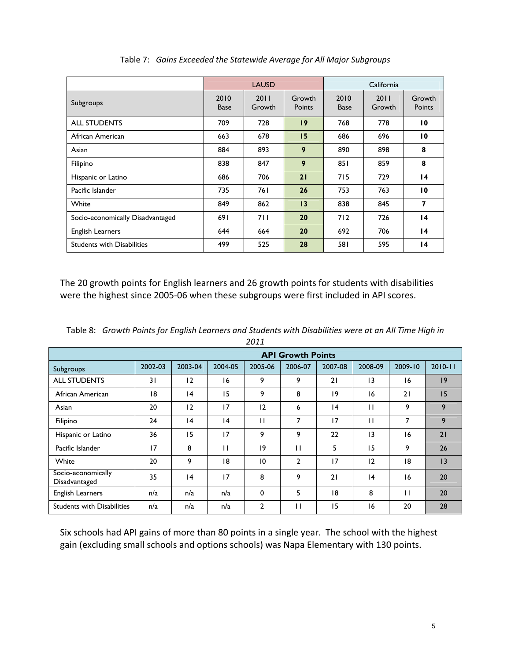|                                   | <b>LAUSD</b>        |                |                  |                     | California     |                  |
|-----------------------------------|---------------------|----------------|------------------|---------------------|----------------|------------------|
| Subgroups                         | 2010<br><b>Base</b> | 2011<br>Growth | Growth<br>Points | 2010<br><b>Base</b> | 2011<br>Growth | Growth<br>Points |
| <b>ALL STUDENTS</b>               | 709                 | 728            | 19               | 768                 | 778            | $\overline{10}$  |
| African American                  | 663                 | 678            | 15               | 686                 | 696            | $\overline{10}$  |
| Asian                             | 884                 | 893            | 9                | 890                 | 898            | 8                |
| Filipino                          | 838                 | 847            | 9                | 851                 | 859            | 8                |
| Hispanic or Latino                | 686                 | 706            | 21               | 715                 | 729            | $\overline{14}$  |
| Pacific Islander                  | 735                 | 761            | 26               | 753                 | 763            | 10               |
| White                             | 849                 | 862            | 13               | 838                 | 845            | 7                |
| Socio-economically Disadvantaged  | 691                 | 711            | 20               | 712                 | 726            | $\overline{14}$  |
| English Learners                  | 644                 | 664            | 20               | 692                 | 706            | $\overline{14}$  |
| <b>Students with Disabilities</b> | 499                 | 525            | 28               | 581                 | 595            | 14               |

Table 7: *Gains Exceeded the Statewide Average for All Major Subgroups*

The 20 growth points for English learners and 26 growth points for students with disabilities were the highest since 2005‐06 when these subgroups were first included in API scores.

Table 8: *Growth Points for English Learners and Students with Disabilities were at an All Time High in 2011*

|                                     | <b>API Growth Points</b> |         |         |              |              |         |         |         |             |  |
|-------------------------------------|--------------------------|---------|---------|--------------|--------------|---------|---------|---------|-------------|--|
| Subgroups                           | 2002-03                  | 2003-04 | 2004-05 | 2005-06      | 2006-07      | 2007-08 | 2008-09 | 2009-10 | $2010 - 11$ |  |
| <b>ALL STUDENTS</b>                 | 31                       | 12      | 16      | 9            | 9            | 21      | 3       | 16      | 9           |  |
| African American                    | 18                       | 4       | 15      | 9            | 8            | 19      | 16      | 21      | 15          |  |
| Asian                               | 20                       | 12      | 17      | 12           | 6            | 4       | П       | 9       | 9           |  |
| Filipino                            | 24                       | 4       | 4       | $\mathbf{I}$ | 7            | 17      | П       | 7       | 9           |  |
| Hispanic or Latino                  | 36                       | 15      | 17      | 9            | 9            | 22      | 13      | 16      | 21          |  |
| Pacific Islander                    | 17                       | 8       | П       | 19           | П            | 5       | 15      | 9       | 26          |  |
| White                               | 20                       | 9       | 18      | 10           | $\mathbf{2}$ | 17      | 12      | 18      | 3           |  |
| Socio-economically<br>Disadvantaged | 35                       | 4       | 17      | 8            | 9            | 21      | 4       | 16      | 20          |  |
| <b>English Learners</b>             | n/a                      | n/a     | n/a     | $\mathbf 0$  | 5            | 18      | 8       | П       | 20          |  |
| <b>Students with Disabilities</b>   | n/a                      | n/a     | n/a     | 2            | П            | 15      | 16      | 20      | 28          |  |

Six schools had API gains of more than 80 points in a single year. The school with the highest gain (excluding small schools and options schools) was Napa Elementary with 130 points.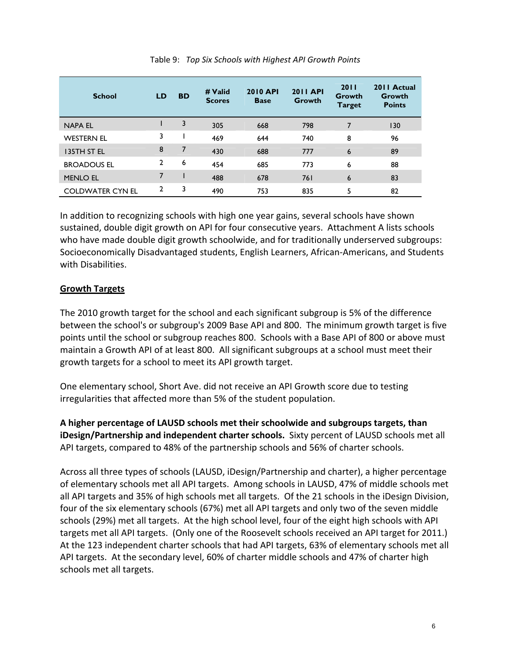| <b>School</b>           | <b>LD</b>    | <b>BD</b> | # Valid<br><b>Scores</b> | <b>2010 API</b><br><b>Base</b> | <b>2011 API</b><br>Growth | 2011<br>Growth<br><b>Target</b> | 2011 Actual<br>Growth<br><b>Points</b> |
|-------------------------|--------------|-----------|--------------------------|--------------------------------|---------------------------|---------------------------------|----------------------------------------|
| <b>NAPA EL</b>          |              | 3         | 305                      | 668                            | 798                       | $\overline{7}$                  | 130                                    |
| <b>WESTERN EL</b>       | 3            |           | 469                      | 644                            | 740                       | 8                               | 96                                     |
| <b>I35TH ST EL</b>      | 8            | 7         | 430                      | 688                            | 777                       | 6                               | 89                                     |
| <b>BROADOUS EL</b>      | $\mathbf{2}$ | 6         | 454                      | 685                            | 773                       | 6                               | 88                                     |
| <b>MENLO EL</b>         | 7            |           | 488                      | 678                            | 761                       | 6                               | 83                                     |
| <b>COLDWATER CYN EL</b> | $\mathbf{2}$ | 3         | 490                      | 753                            | 835                       | 5                               | 82                                     |

#### Table 9: *Top Six Schools with Highest API Growth Points*

In addition to recognizing schools with high one year gains, several schools have shown sustained, double digit growth on API for four consecutive years. Attachment A lists schools who have made double digit growth schoolwide, and for traditionally underserved subgroups: Socioeconomically Disadvantaged students, English Learners, African‐Americans, and Students with Disabilities.

#### **Growth Targets**

The 2010 growth target for the school and each significant subgroup is 5% of the difference between the school's or subgroup's 2009 Base API and 800. The minimum growth target is five points until the school or subgroup reaches 800. Schools with a Base API of 800 or above must maintain a Growth API of at least 800. All significant subgroups at a school must meet their growth targets for a school to meet its API growth target.

One elementary school, Short Ave. did not receive an API Growth score due to testing irregularities that affected more than 5% of the student population.

**A higher percentage of LAUSD schools met their schoolwide and subgroups targets, than iDesign/Partnership and independent charter schools.** Sixty percent of LAUSD schools met all API targets, compared to 48% of the partnership schools and 56% of charter schools.

Across all three types of schools (LAUSD, iDesign/Partnership and charter), a higher percentage of elementary schools met all API targets. Among schools in LAUSD, 47% of middle schools met all API targets and 35% of high schools met all targets. Of the 21 schools in the iDesign Division, four of the six elementary schools (67%) met all API targets and only two of the seven middle schools (29%) met all targets. At the high school level, four of the eight high schools with API targets met all API targets. (Only one of the Roosevelt schools received an API target for 2011.) At the 123 independent charter schools that had API targets, 63% of elementary schools met all API targets. At the secondary level, 60% of charter middle schools and 47% of charter high schools met all targets.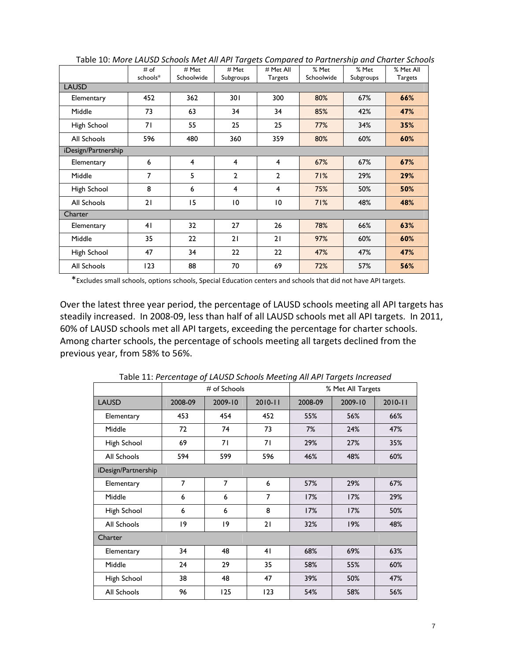|                     | # of         | # Met      | # Met                   | # Met All      | % Met      | % Met     | % Met All      |  |  |  |  |
|---------------------|--------------|------------|-------------------------|----------------|------------|-----------|----------------|--|--|--|--|
|                     | schools*     | Schoolwide | Subgroups               | Targets        | Schoolwide | Subgroups | <b>Targets</b> |  |  |  |  |
|                     | <b>LAUSD</b> |            |                         |                |            |           |                |  |  |  |  |
| Elementary          | 452          | 362        | 301                     | 300            | 80%        | 67%       | 66%            |  |  |  |  |
| Middle              | 73           | 63         | 34                      | 34             | 85%        | 42%       | 47%            |  |  |  |  |
| High School         | 71           | 55         | 25                      | 25             | 77%        | 34%       | 35%            |  |  |  |  |
| All Schools         | 596          | 480        | 360                     | 359            | 80%        | 60%       | 60%            |  |  |  |  |
| iDesign/Partnership |              |            |                         |                |            |           |                |  |  |  |  |
| Elementary          | 6            | 4          | 4                       | 4              | 67%        | 67%       | 67%            |  |  |  |  |
| Middle              | 7            | 5          | $\overline{2}$          | $\overline{2}$ | 71%        | 29%       | 29%            |  |  |  |  |
| High School         | 8            | 6          | $\overline{\mathbf{4}}$ | 4              | 75%        | 50%       | 50%            |  |  |  |  |
| All Schools         | 21           | 15         | $\overline{10}$         | 10             | 71%        | 48%       | 48%            |  |  |  |  |
| Charter             |              |            |                         |                |            |           |                |  |  |  |  |
| Elementary          | 41           | 32         | 27                      | 26             | 78%        | 66%       | 63%            |  |  |  |  |
| Middle              | 35           | 22         | 21                      | 21             | 97%        | 60%       | 60%            |  |  |  |  |
| High School         | 47           | 34         | 22                      | 22             | 47%        | 47%       | 47%            |  |  |  |  |
| All Schools         | 123          | 88         | 70                      | 69             | 72%        | 57%       | 56%            |  |  |  |  |

Table 10: *More LAUSD Schools Met All API Targets Compared to Partnership and Charter Schools*

\*Excludes small schools, options schools, Special Education centers and schools that did not have API targets.

Over the latest three year period, the percentage of LAUSD schools meeting all API targets has steadily increased. In 2008‐09, less than half of all LAUSD schools met all API targets. In 2011, 60% of LAUSD schools met all API targets, exceeding the percentage for charter schools. Among charter schools, the percentage of schools meeting all targets declined from the previous year, from 58% to 56%.

|                     | . . <b>.</b> . <b>.</b> | $#$ of Schools |                | % Met All Targets |         |             |  |  |
|---------------------|-------------------------|----------------|----------------|-------------------|---------|-------------|--|--|
| <b>LAUSD</b>        | 2008-09                 | 2009-10        | $2010 - 11$    | 2008-09           | 2009-10 | $2010 - 11$ |  |  |
| Elementary          | 453                     | 454            | 452            | 55%               | 56%     | 66%         |  |  |
| Middle              | 72                      | 74             | 73             | 7%                | 24%     | 47%         |  |  |
| High School         | 69                      | 71             | 71             | 29%               | 27%     | 35%         |  |  |
| All Schools         | 594                     | 599            | 596            | 46%               | 48%     | 60%         |  |  |
| iDesign/Partnership |                         |                |                |                   |         |             |  |  |
| Elementary          | $\overline{7}$          | $\overline{7}$ | 6              | 57%               | 29%     | 67%         |  |  |
| Middle              | 6                       | 6              | $\overline{7}$ | 17%               | 17%     | 29%         |  |  |
| High School         | 6                       | 6              | 8              | 17%               | 17%     | 50%         |  |  |
| All Schools         | 9                       | $ 9\rangle$    | 21             | 32%               | 19%     | 48%         |  |  |
| Charter             |                         |                |                |                   |         |             |  |  |
| Elementary          | 34                      | 48             | 41             | 68%               | 69%     | 63%         |  |  |
| Middle              | 24                      | 29             | 35             | 58%               | 55%     | 60%         |  |  |
| High School         | 38                      | 48             | 47             | 39%               | 50%     | 47%         |  |  |
| All Schools         | 96                      | 125            | 123            | 54%               | 58%     | 56%         |  |  |

Table 11: *Percentage of LAUSD Schools Meeting All API Targets Increased*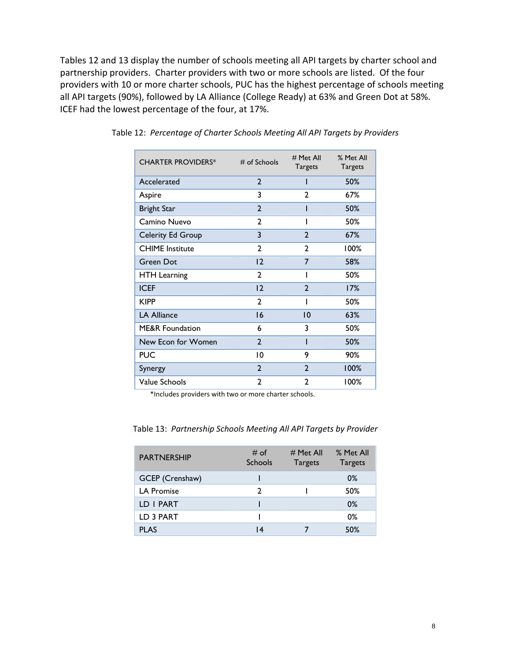Tables 12 and 13 display the number of schools meeting all API targets by charter school and partnership providers. Charter providers with two or more schools are listed. Of the four providers with 10 or more charter schools, PUC has the highest percentage of schools meeting all API targets (90%), followed by LA Alliance (College Ready) at 63% and Green Dot at 58%. ICEF had the lowest percentage of the four, at 17%.

| <b>CHARTER PROVIDERS*</b>  | $#$ of Schools | # Met All<br><b>Targets</b> | % Met All<br><b>Targets</b> |
|----------------------------|----------------|-----------------------------|-----------------------------|
| Accelerated                | $\overline{2}$ |                             | 50%                         |
| Aspire                     | 3              | $\overline{2}$              | 67%                         |
| <b>Bright Star</b>         | $\overline{2}$ | ı                           | 50%                         |
| Camino Nuevo               | $\mathbf{2}$   | ı                           | 50%                         |
| <b>Celerity Ed Group</b>   | 3              | $\overline{2}$              | 67%                         |
| <b>CHIME</b> Institute     | $\mathbf{c}$   | $\mathbf{c}$                | 100%                        |
| <b>Green Dot</b>           | 12             | 7                           | 58%                         |
| <b>HTH Learning</b>        | $\mathbf{c}$   |                             | 50%                         |
| <b>ICEF</b>                | 12             | $\overline{2}$              | 17%                         |
| <b>KIPP</b>                | $\mathfrak{p}$ |                             | 50%                         |
| <b>LA Alliance</b>         | 16             | $\overline{10}$             | 63%                         |
| <b>ME&amp;R Foundation</b> | 6              | 3                           | 50%                         |
| New Econ for Women         | $\mathbf{2}$   |                             | 50%                         |
| <b>PUC</b>                 | 10             | 9                           | 90%                         |
| Synergy                    | $\overline{2}$ | $\overline{2}$              | 100%                        |
| Value Schools              | $\mathbf{2}$   | $\mathbf{2}$                | 100%                        |

Table 12: *Percentage of Charter Schools Meeting All API Targets by Providers*

\*Includes providers with two or more charter schools.

| <b>PARTNERSHIP</b> | # of<br>Schools | # Met All<br><b>Targets</b> | % Met All<br><b>Targets</b> |
|--------------------|-----------------|-----------------------------|-----------------------------|
| GCEP (Crenshaw)    |                 |                             | 0%                          |
| <b>LA Promise</b>  | າ               |                             | 50%                         |
| LD I PART          |                 |                             | $0\%$                       |
| LD 3 PART          |                 |                             | 0%                          |
| <b>PLAS</b>        | ا 4             |                             | 50%                         |

Table 13: *Partnership Schools Meeting All API Targets by Provider*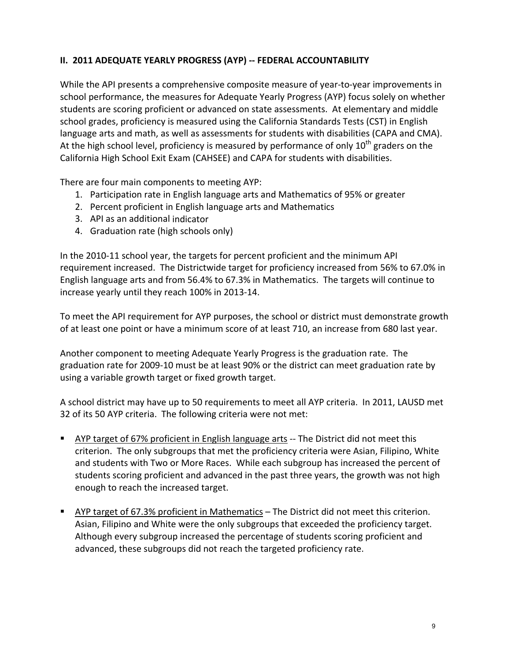### **II. 2011 ADEQUATE YEARLY PROGRESS (AYP) ‐‐ FEDERAL ACCOUNTABILITY**

While the API presents a comprehensive composite measure of year-to-year improvements in school performance, the measures for Adequate Yearly Progress (AYP) focus solely on whether students are scoring proficient or advanced on state assessments. At elementary and middle school grades, proficiency is measured using the California Standards Tests (CST) in English language arts and math, as well as assessments for students with disabilities (CAPA and CMA). At the high school level, proficiency is measured by performance of only  $10<sup>th</sup>$  graders on the California High School Exit Exam (CAHSEE) and CAPA for students with disabilities.

There are four main components to meeting AYP:

- 1. Participation rate in English language arts and Mathematics of 95% or greater
- 2. Percent proficient in English language arts and Mathematics
- 3. API as an additional indicator
- 4. Graduation rate (high schools only)

In the 2010‐11 school year, the targets for percent proficient and the minimum API requirement increased. The Districtwide target for proficiency increased from 56% to 67.0% in English language arts and from 56.4% to 67.3% in Mathematics. The targets will continue to increase yearly until they reach 100% in 2013‐14.

To meet the API requirement for AYP purposes, the school or district must demonstrate growth of at least one point or have a minimum score of at least 710, an increase from 680 last year.

Another component to meeting Adequate Yearly Progress is the graduation rate. The graduation rate for 2009‐10 must be at least 90% or the district can meet graduation rate by using a variable growth target or fixed growth target.

A school district may have up to 50 requirements to meet all AYP criteria. In 2011, LAUSD met 32 of its 50 AYP criteria. The following criteria were not met:

- **AYP** target of 67% proficient in English language arts -- The District did not meet this criterion. The only subgroups that met the proficiency criteria were Asian, Filipino, White and students with Two or More Races. While each subgroup has increased the percent of students scoring proficient and advanced in the past three years, the growth was not high enough to reach the increased target.
- AYP target of 67.3% proficient in Mathematics The District did not meet this criterion. Asian, Filipino and White were the only subgroups that exceeded the proficiency target. Although every subgroup increased the percentage of students scoring proficient and advanced, these subgroups did not reach the targeted proficiency rate.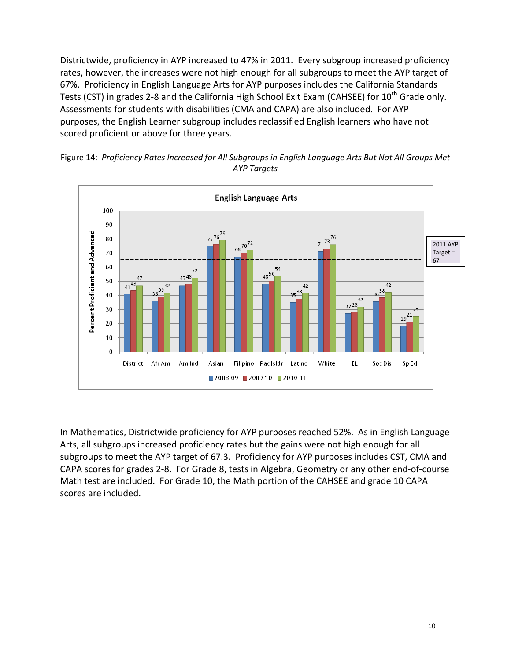Districtwide, proficiency in AYP increased to 47% in 2011. Every subgroup increased proficiency rates, however, the increases were not high enough for all subgroups to meet the AYP target of 67%. Proficiency in English Language Arts for AYP purposes includes the California Standards Tests (CST) in grades 2-8 and the California High School Exit Exam (CAHSEE) for 10<sup>th</sup> Grade only. Assessments for students with disabilities (CMA and CAPA) are also included. For AYP purposes, the English Learner subgroup includes reclassified English learners who have not scored proficient or above for three years.





In Mathematics, Districtwide proficiency for AYP purposes reached 52%. As in English Language Arts, all subgroups increased proficiency rates but the gains were not high enough for all subgroups to meet the AYP target of 67.3. Proficiency for AYP purposes includes CST, CMA and CAPA scores for grades 2‐8. For Grade 8, tests in Algebra, Geometry or any other end‐of‐course Math test are included. For Grade 10, the Math portion of the CAHSEE and grade 10 CAPA scores are included.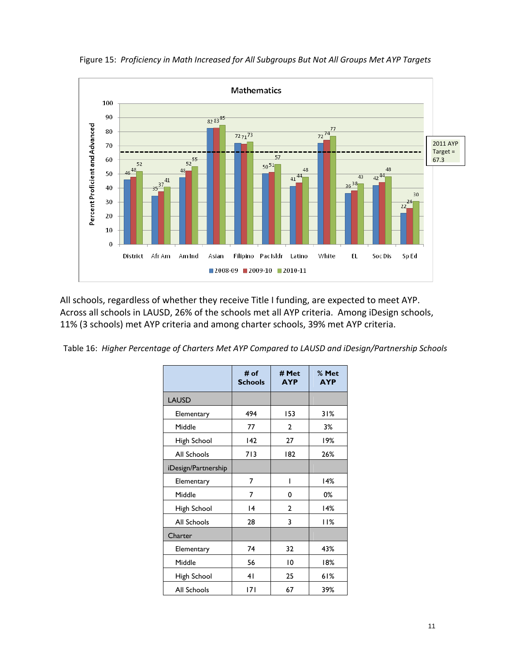

Figure 15: *Proficiency in Math Increased for All Subgroups But Not All Groups Met AYP Targets*

All schools, regardless of whether they receive Title I funding, are expected to meet AYP. Across all schools in LAUSD, 26% of the schools met all AYP criteria. Among iDesign schools, 11% (3 schools) met AYP criteria and among charter schools, 39% met AYP criteria.

Table 16: *Higher Percentage of Charters Met AYP Compared to LAUSD and iDesign/Partnership Schools*

|                     | # of<br><b>Schools</b> | # Met<br><b>AYP</b> | % Met<br><b>AYP</b> |
|---------------------|------------------------|---------------------|---------------------|
| <b>LAUSD</b>        |                        |                     |                     |
| Elementary          | 494                    | 153                 | 31%                 |
| Middle              | 77                     | 2                   | 3%                  |
| High School         | 142                    | 27                  | 19%                 |
| All Schools         | 713                    | 182                 | 26%                 |
| iDesign/Partnership |                        |                     |                     |
| Elementary          | 7                      | ı                   | 14%                 |
| Middle              | 7                      | 0                   | 0%                  |
| High School         | 4                      | $\mathfrak{p}$      | 14%                 |
| All Schools         | 28                     | 3                   | <b>11%</b>          |
| Charter             |                        |                     |                     |
| Elementary          | 74                     | 32                  | 43%                 |
| Middle              | 56                     | 10                  | 18%                 |
| High School         | 41                     | 25                  | 61%                 |
| All Schools         | 7                      | 67                  | 39%                 |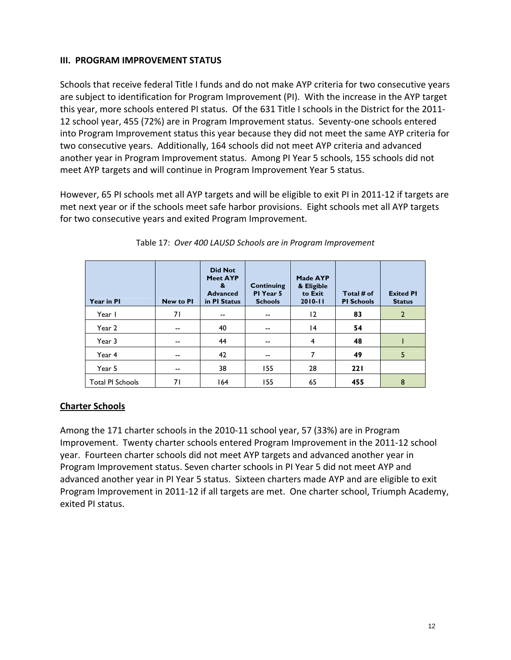#### **III. PROGRAM IMPROVEMENT STATUS**

Schools that receive federal Title I funds and do not make AYP criteria for two consecutive years are subject to identification for Program Improvement (PI). With the increase in the AYP target this year, more schools entered PI status. Of the 631 Title I schools in the District for the 2011‐ 12 school year, 455 (72%) are in Program Improvement status. Seventy‐one schools entered into Program Improvement status this year because they did not meet the same AYP criteria for two consecutive years. Additionally, 164 schools did not meet AYP criteria and advanced another year in Program Improvement status. Among PI Year 5 schools, 155 schools did not meet AYP targets and will continue in Program Improvement Year 5 status.

However, 65 PI schools met all AYP targets and will be eligible to exit PI in 2011‐12 if targets are met next year or if the schools meet safe harbor provisions. Eight schools met all AYP targets for two consecutive years and exited Program Improvement.

| Year in PI              | <b>New to PI</b> | <b>Did Not</b><br><b>Meet AYP</b><br>&<br><b>Advanced</b><br>in PI Status | <b>Continuing</b><br>PI Year 5<br><b>Schools</b> | Made AYP<br>& Eligible<br>to Exit<br>$2010 - 11$ | Total # of<br><b>PI Schools</b> | <b>Exited PI</b><br><b>Status</b> |
|-------------------------|------------------|---------------------------------------------------------------------------|--------------------------------------------------|--------------------------------------------------|---------------------------------|-----------------------------------|
| Year I                  | 71               | --                                                                        | --                                               | 12                                               | 83                              | $\overline{2}$                    |
| Year 2                  | $-$              | 40                                                                        | $- -$                                            | 4                                                | 54                              |                                   |
| Year 3                  | $-$              | 44                                                                        | --                                               | 4                                                | 48                              |                                   |
| Year 4                  | $-$              | 42                                                                        | --                                               |                                                  | 49                              | 5                                 |
| Year 5                  | --               | 38                                                                        | 155                                              | 28                                               | 221                             |                                   |
| <b>Total PI Schools</b> | 71               | 164                                                                       | 155                                              | 65                                               | 455                             | 8                                 |

#### Table 17: *Over 400 LAUSD Schools are in Program Improvement*

#### **Charter Schools**

Among the 171 charter schools in the 2010‐11 school year, 57 (33%) are in Program Improvement. Twenty charter schools entered Program Improvement in the 2011‐12 school year. Fourteen charter schools did not meet AYP targets and advanced another year in Program Improvement status. Seven charter schools in PI Year 5 did not meet AYP and advanced another year in PI Year 5 status. Sixteen charters made AYP and are eligible to exit Program Improvement in 2011‐12 if all targets are met. One charter school, Triumph Academy, exited PI status.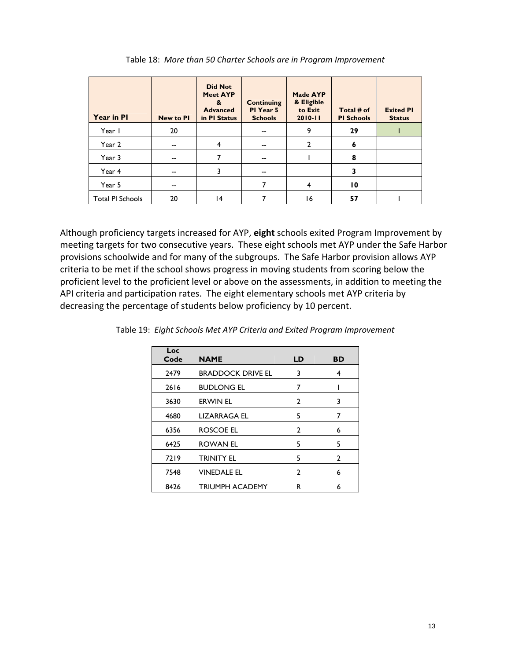| Year in PI              | <b>New to PI</b> | <b>Did Not</b><br><b>Meet AYP</b><br>&<br><b>Advanced</b><br>in PI Status | <b>Continuing</b><br>PI Year 5<br><b>Schools</b> | <b>Made AYP</b><br>& Eligible<br>to Exit<br>$2010 - 11$ | Total # of<br><b>PI Schools</b> | <b>Exited PI</b><br><b>Status</b> |
|-------------------------|------------------|---------------------------------------------------------------------------|--------------------------------------------------|---------------------------------------------------------|---------------------------------|-----------------------------------|
| Year I                  | 20               |                                                                           | $-$                                              | 9                                                       | 29                              |                                   |
| Year 2                  | $-$              | 4                                                                         | --                                               | $\overline{2}$                                          | 6                               |                                   |
| Year 3                  | --               | 7                                                                         | --                                               |                                                         | 8                               |                                   |
| Year 4                  | --               |                                                                           | --                                               |                                                         | 3                               |                                   |
| Year 5                  | --               |                                                                           |                                                  | 4                                                       | $\overline{10}$                 |                                   |
| <b>Total PI Schools</b> | 20               | 14                                                                        |                                                  | 16                                                      | 57                              |                                   |

Table 18: *More than 50 Charter Schools are in Program Improvement*

Although proficiency targets increased for AYP, **eight** schools exited Program Improvement by meeting targets for two consecutive years. These eight schools met AYP under the Safe Harbor provisions schoolwide and for many of the subgroups. The Safe Harbor provision allows AYP criteria to be met if the school shows progress in moving students from scoring below the proficient level to the proficient level or above on the assessments, in addition to meeting the API criteria and participation rates. The eight elementary schools met AYP criteria by decreasing the percentage of students below proficiency by 10 percent.

| Loc<br>Code | <b>NAME</b>              | LD             | BD           |
|-------------|--------------------------|----------------|--------------|
| 2479        | <b>BRADDOCK DRIVE EL</b> | 3              | 4            |
| 2616        | <b>BUDLONG EL</b>        | 7              |              |
| 3630        | <b>ERWIN EL</b>          | $\mathbf{2}$   | 3            |
| 4680        | LIZARRAGA EL             | 5              | 7            |
| 6356        | ROSCOE EL                | 2              | 6            |
| 6425        | <b>ROWAN EL</b>          | 5              | 5            |
| 7219        | <b>TRINITY EL</b>        | 5              | $\mathbf{2}$ |
| 7548        | <b>VINEDALE EL</b>       | $\overline{2}$ | 6            |
| 8426        | <b>TRIUMPH ACADEMY</b>   | R              | 6            |

Table 19: *Eight Schools Met AYP Criteria and Exited Program Improvement*